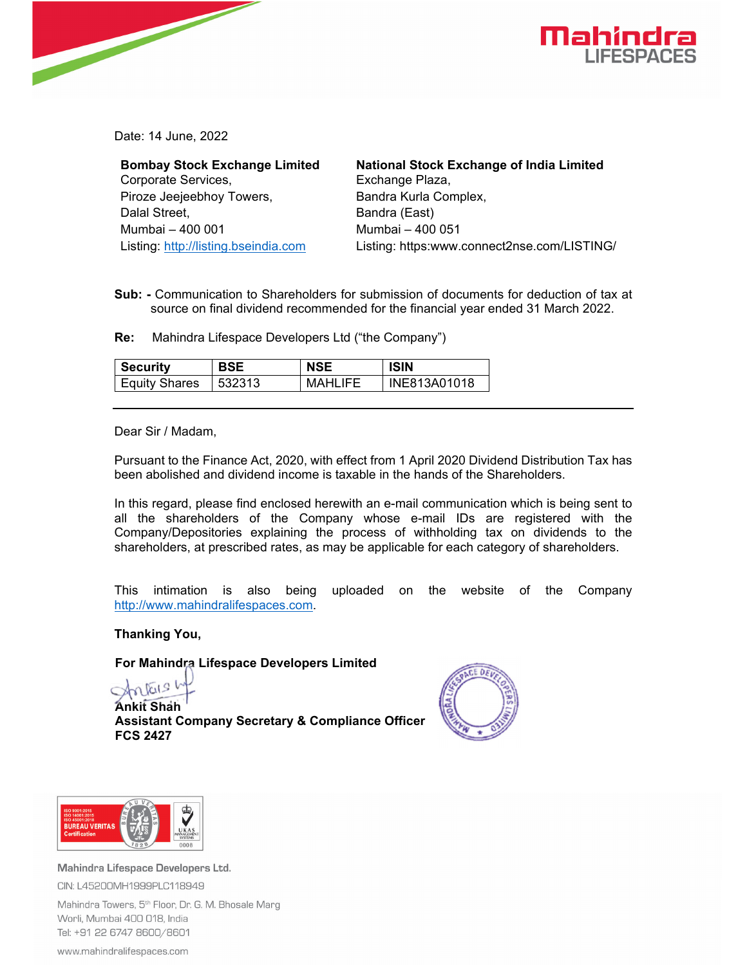

Date: 14 June, 2022

**Bombay Stock Exchange Limited**  Corporate Services, Piroze Jeejeebhoy Towers, Dalal Street, Mumbai – 400 001 Listing: http://listing.bseindia.com

**National Stock Exchange of India Limited**  Exchange Plaza, Bandra Kurla Complex, Bandra (East) Mumbai – 400 051 Listing: https:www.connect2nse.com/LISTING/

**Sub: -** Communication to Shareholders for submission of documents for deduction of tax at source on final dividend recommended for the financial year ended 31 March 2022.

**Re:** Mahindra Lifespace Developers Ltd ("the Company")

| Security             | BSE    | NSE     | <b>ISIN</b>  |
|----------------------|--------|---------|--------------|
| <b>Equity Shares</b> | 532313 | MAHLIFE | INE813A01018 |

Dear Sir / Madam,

Pursuant to the Finance Act, 2020, with effect from 1 April 2020 Dividend Distribution Tax has been abolished and dividend income is taxable in the hands of the Shareholders.

In this regard, please find enclosed herewith an e-mail communication which is being sent to all the shareholders of the Company whose e-mail IDs are registered with the Company/Depositories explaining the process of withholding tax on dividends to the shareholders, at prescribed rates, as may be applicable for each category of shareholders.

This intimation is also being uploaded on the website of the Company http://www.mahindralifespaces.com.

**Thanking You,** 

**For Mahindra Lifespace Developers Limited** 

 $\sqrt{219}$ 

**Ankit Shah Assistant Company Secretary & Compliance Officer FCS 2427** 





Mahindra Lifespace Developers Ltd. CIN: L45200MH1999PLC118949

Mahindra Towers, 5<sup>th</sup> Floor, Dr. G. M. Bhosale Marg Worli, Mumbai 400 018, India Tel: +91 22 6747 8600/8601

www.mahindralifespaces.com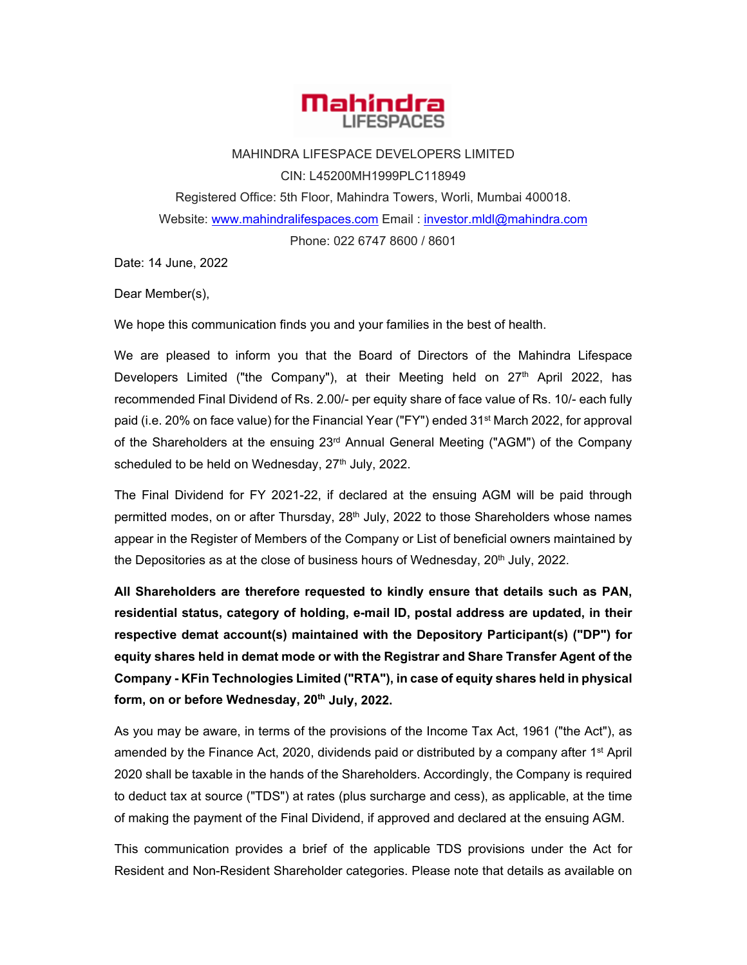

MAHINDRA LIFESPACE DEVELOPERS LIMITED CIN: L45200MH1999PLC118949 Registered Office: 5th Floor, Mahindra Towers, Worli, Mumbai 400018. Website: www.mahindralifespaces.com Email : investor.mldl@mahindra.com Phone: 022 6747 8600 / 8601

Date: 14 June, 2022

Dear Member(s),

We hope this communication finds you and your families in the best of health.

We are pleased to inform you that the Board of Directors of the Mahindra Lifespace Developers Limited ("the Company"), at their Meeting held on  $27<sup>th</sup>$  April 2022, has recommended Final Dividend of Rs. 2.00/- per equity share of face value of Rs. 10/- each fully paid (i.e. 20% on face value) for the Financial Year ("FY") ended 31<sup>st</sup> March 2022, for approval of the Shareholders at the ensuing 23<sup>rd</sup> Annual General Meeting ("AGM") of the Company scheduled to be held on Wednesday,  $27<sup>th</sup>$  July, 2022.

The Final Dividend for FY 2021-22, if declared at the ensuing AGM will be paid through permitted modes, on or after Thursday, 28<sup>th</sup> July, 2022 to those Shareholders whose names appear in the Register of Members of the Company or List of beneficial owners maintained by the Depositories as at the close of business hours of Wednesday,  $20<sup>th</sup>$  July, 2022.

**All Shareholders are therefore requested to kindly ensure that details such as PAN, residential status, category of holding, e-mail ID, postal address are updated, in their respective demat account(s) maintained with the Depository Participant(s) ("DP") for equity shares held in demat mode or with the Registrar and Share Transfer Agent of the Company - KFin Technologies Limited ("RTA"), in case of equity shares held in physical**  form, on or before Wednesday, 20<sup>th</sup> July, 2022.

As you may be aware, in terms of the provisions of the Income Tax Act, 1961 ("the Act"), as amended by the Finance Act, 2020, dividends paid or distributed by a company after 1<sup>st</sup> April 2020 shall be taxable in the hands of the Shareholders. Accordingly, the Company is required to deduct tax at source ("TDS") at rates (plus surcharge and cess), as applicable, at the time of making the payment of the Final Dividend, if approved and declared at the ensuing AGM.

This communication provides a brief of the applicable TDS provisions under the Act for Resident and Non-Resident Shareholder categories. Please note that details as available on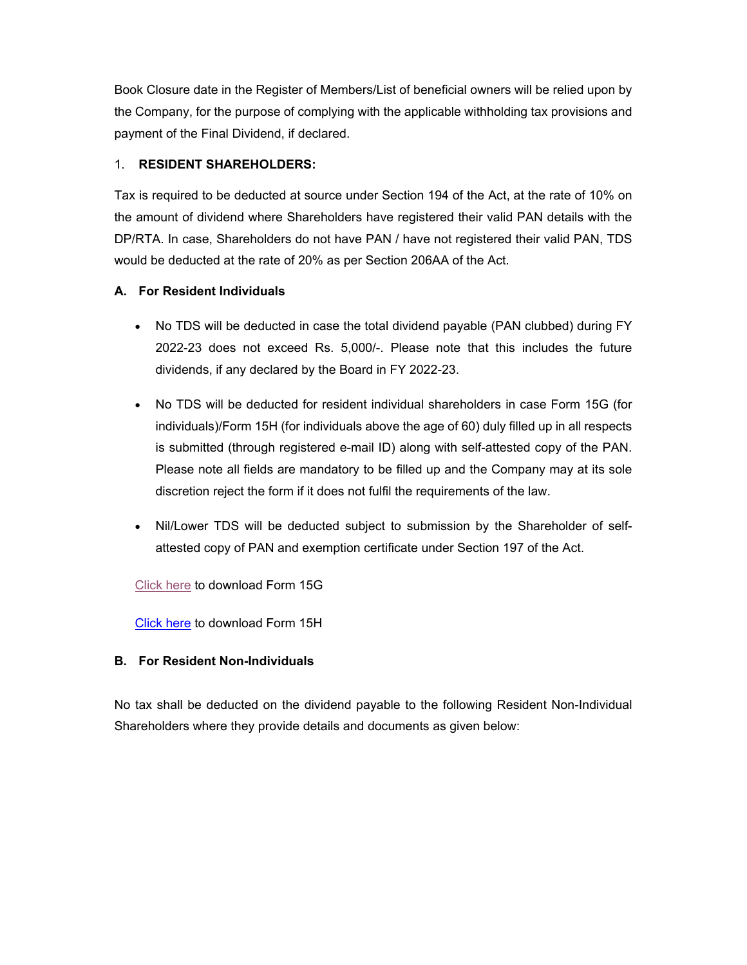Book Closure date in the Register of Members/List of beneficial owners will be relied upon by the Company, for the purpose of complying with the applicable withholding tax provisions and payment of the Final Dividend, if declared.

# 1. **RESIDENT SHAREHOLDERS:**

Tax is required to be deducted at source under Section 194 of the Act, at the rate of 10% on the amount of dividend where Shareholders have registered their valid PAN details with the DP/RTA. In case, Shareholders do not have PAN / have not registered their valid PAN, TDS would be deducted at the rate of 20% as per Section 206AA of the Act.

### **A. For Resident Individuals**

- No TDS will be deducted in case the total dividend payable (PAN clubbed) during FY 2022-23 does not exceed Rs. 5,000/-. Please note that this includes the future dividends, if any declared by the Board in FY 2022-23.
- No TDS will be deducted for resident individual shareholders in case Form 15G (for individuals)/Form 15H (for individuals above the age of 60) duly filled up in all respects is submitted (through registered e-mail ID) along with self-attested copy of the PAN. Please note all fields are mandatory to be filled up and the Company may at its sole discretion reject the form if it does not fulfil the requirements of the law.
- Nil/Lower TDS will be deducted subject to submission by the Shareholder of selfattested copy of PAN and exemption certificate under Section 197 of the Act.

[Click here](https://crimg.kfintech.com/bmails/Files/13981_Form15G.pdf) to download Form 15G

[Click here](https://crimg.kfintech.com/bmails/Files/13981_Form15H.pdf) to download Form 15H

# **B. For Resident Non-Individuals**

No tax shall be deducted on the dividend payable to the following Resident Non-Individual Shareholders where they provide details and documents as given below: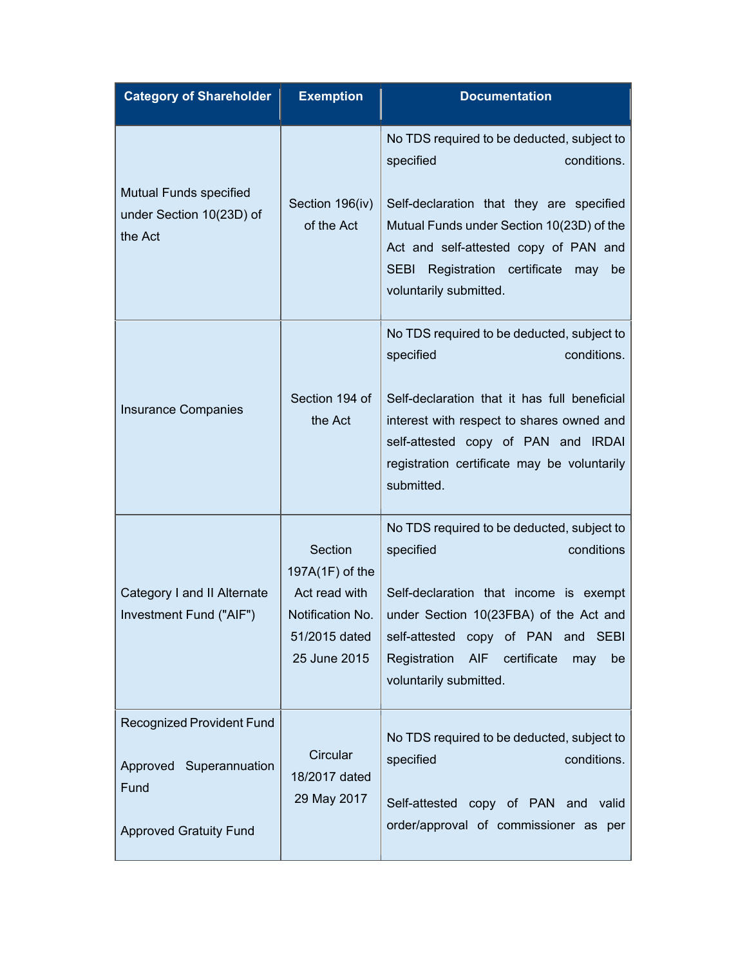| <b>Category of Shareholder</b>                                                                       | <b>Exemption</b>                                                                                 | <b>Documentation</b>                                                                                                                                                                                                                                                                       |
|------------------------------------------------------------------------------------------------------|--------------------------------------------------------------------------------------------------|--------------------------------------------------------------------------------------------------------------------------------------------------------------------------------------------------------------------------------------------------------------------------------------------|
| <b>Mutual Funds specified</b><br>under Section 10(23D) of<br>the Act                                 | Section 196(iv)<br>of the Act                                                                    | No TDS required to be deducted, subject to<br>specified<br>conditions.<br>Self-declaration that they are specified<br>Mutual Funds under Section 10(23D) of the<br>Act and self-attested copy of PAN and<br>Registration certificate<br><b>SEBI</b><br>may<br>be<br>voluntarily submitted. |
| <b>Insurance Companies</b>                                                                           | Section 194 of<br>the Act                                                                        | No TDS required to be deducted, subject to<br>specified<br>conditions.<br>Self-declaration that it has full beneficial<br>interest with respect to shares owned and<br>self-attested copy of PAN and IRDAI<br>registration certificate may be voluntarily<br>submitted.                    |
| Category I and II Alternate<br>Investment Fund ("AIF")                                               | Section<br>197A(1F) of the<br>Act read with<br>Notification No.<br>51/2015 dated<br>25 June 2015 | No TDS required to be deducted, subject to<br>conditions<br>specified<br>Self-declaration that income is exempt<br>under Section 10(23FBA) of the Act and<br>self-attested<br>copy of PAN and SEBI<br>Registration<br><b>AIF</b><br>certificate<br>may<br>be<br>voluntarily submitted.     |
| <b>Recognized Provident Fund</b><br>Approved Superannuation<br>Fund<br><b>Approved Gratuity Fund</b> | Circular<br>18/2017 dated<br>29 May 2017                                                         | No TDS required to be deducted, subject to<br>specified<br>conditions.<br>Self-attested copy of PAN and valid<br>order/approval of commissioner as per                                                                                                                                     |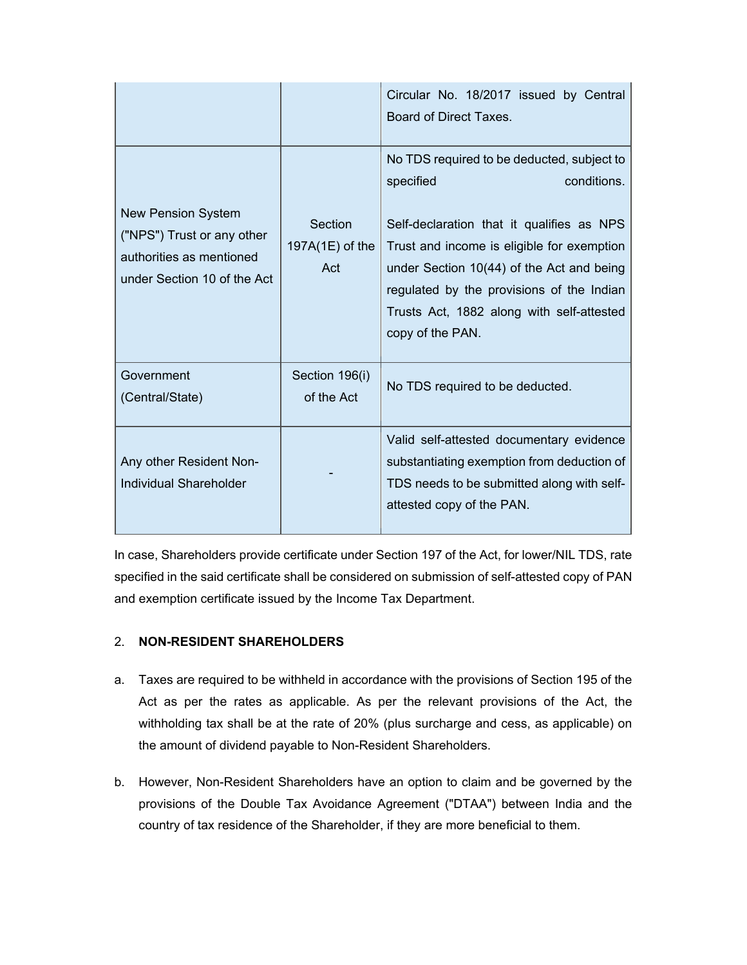|                                                                                                                    |                                   | Circular No. 18/2017 issued by Central<br>Board of Direct Taxes.                                                                                                                                                                                                                                                             |
|--------------------------------------------------------------------------------------------------------------------|-----------------------------------|------------------------------------------------------------------------------------------------------------------------------------------------------------------------------------------------------------------------------------------------------------------------------------------------------------------------------|
| <b>New Pension System</b><br>("NPS") Trust or any other<br>authorities as mentioned<br>under Section 10 of the Act | Section<br>197A(1E) of the<br>Act | No TDS required to be deducted, subject to<br>conditions.<br>specified<br>Self-declaration that it qualifies as NPS<br>Trust and income is eligible for exemption<br>under Section 10(44) of the Act and being<br>regulated by the provisions of the Indian<br>Trusts Act, 1882 along with self-attested<br>copy of the PAN. |
| Government<br>(Central/State)                                                                                      | Section 196(i)<br>of the Act      | No TDS required to be deducted.                                                                                                                                                                                                                                                                                              |
| Any other Resident Non-<br>Individual Shareholder                                                                  |                                   | Valid self-attested documentary evidence<br>substantiating exemption from deduction of<br>TDS needs to be submitted along with self-<br>attested copy of the PAN.                                                                                                                                                            |

In case, Shareholders provide certificate under Section 197 of the Act, for lower/NIL TDS, rate specified in the said certificate shall be considered on submission of self-attested copy of PAN and exemption certificate issued by the Income Tax Department.

# 2. **NON-RESIDENT SHAREHOLDERS**

- a. Taxes are required to be withheld in accordance with the provisions of Section 195 of the Act as per the rates as applicable. As per the relevant provisions of the Act, the withholding tax shall be at the rate of 20% (plus surcharge and cess, as applicable) on the amount of dividend payable to Non-Resident Shareholders.
- b. However, Non-Resident Shareholders have an option to claim and be governed by the provisions of the Double Tax Avoidance Agreement ("DTAA") between India and the country of tax residence of the Shareholder, if they are more beneficial to them.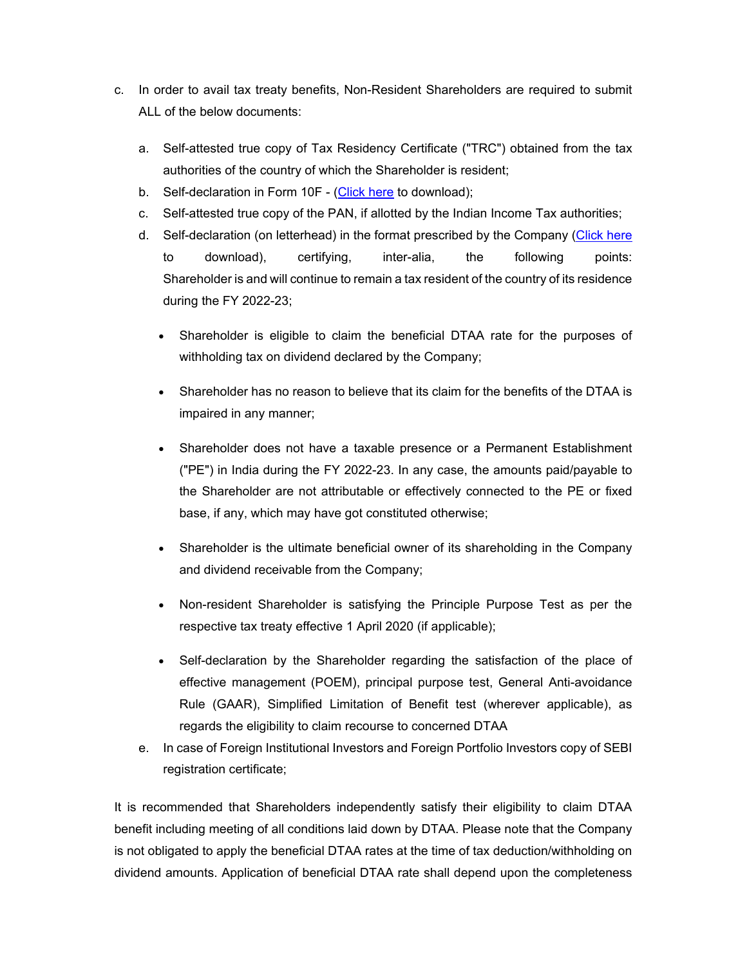- c. In order to avail tax treaty benefits, Non-Resident Shareholders are required to submit ALL of the below documents:
	- a. Self-attested true copy of Tax Residency Certificate ("TRC") obtained from the tax authorities of the country of which the Shareholder is resident;
	- b. Self-declaration in Form 10F [\(Click here](https://crimg.kfintech.com/bmails/files/13981Form10F.pdf) to download);
	- c. Self-attested true copy of the PAN, if allotted by the Indian Income Tax authorities;
	- d. Self-declaration (on letterhead) in the format prescribed by the Company [\(Click here](https://crimg.kfintech.com/bmails/files/13981Declaration-by-Non-Resident-Shareholders.pdf) to download), certifying, inter-alia, the following points: Shareholder is and will continue to remain a tax resident of the country of its residence during the FY 2022-23;
		- Shareholder is eligible to claim the beneficial DTAA rate for the purposes of withholding tax on dividend declared by the Company;
		- Shareholder has no reason to believe that its claim for the benefits of the DTAA is impaired in any manner;
		- Shareholder does not have a taxable presence or a Permanent Establishment ("PE") in India during the FY 2022-23. In any case, the amounts paid/payable to the Shareholder are not attributable or effectively connected to the PE or fixed base, if any, which may have got constituted otherwise;
		- Shareholder is the ultimate beneficial owner of its shareholding in the Company and dividend receivable from the Company;
		- Non-resident Shareholder is satisfying the Principle Purpose Test as per the respective tax treaty effective 1 April 2020 (if applicable);
		- Self-declaration by the Shareholder regarding the satisfaction of the place of effective management (POEM), principal purpose test, General Anti-avoidance Rule (GAAR), Simplified Limitation of Benefit test (wherever applicable), as regards the eligibility to claim recourse to concerned DTAA
	- e. In case of Foreign Institutional Investors and Foreign Portfolio Investors copy of SEBI registration certificate;

It is recommended that Shareholders independently satisfy their eligibility to claim DTAA benefit including meeting of all conditions laid down by DTAA. Please note that the Company is not obligated to apply the beneficial DTAA rates at the time of tax deduction/withholding on dividend amounts. Application of beneficial DTAA rate shall depend upon the completeness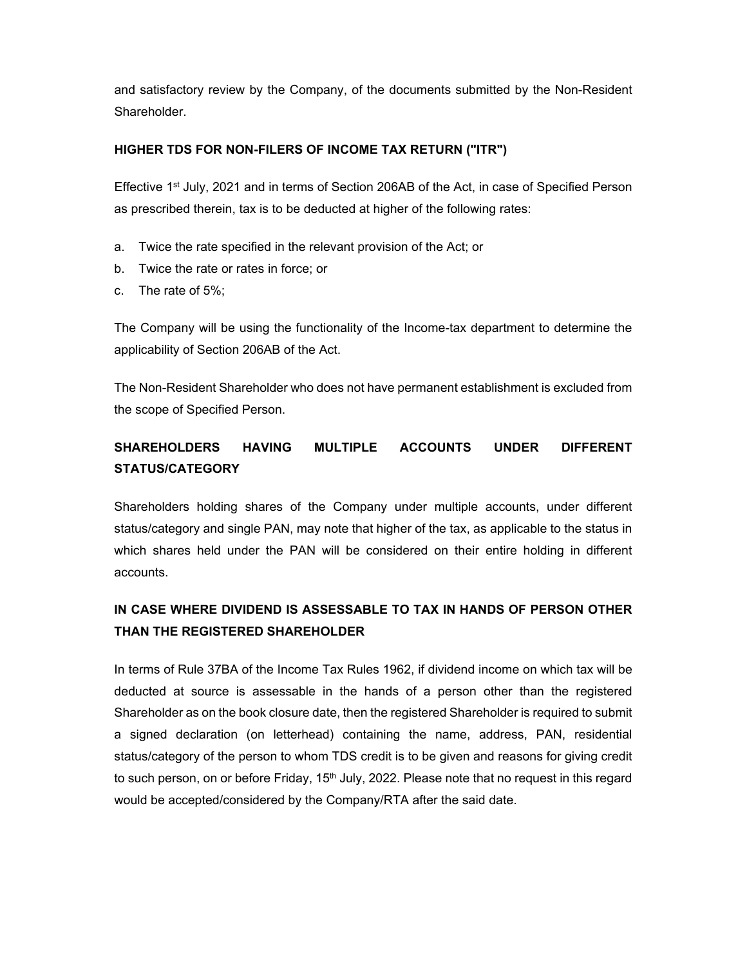and satisfactory review by the Company, of the documents submitted by the Non-Resident Shareholder.

#### **HIGHER TDS FOR NON-FILERS OF INCOME TAX RETURN ("ITR")**

Effective 1<sup>st</sup> July, 2021 and in terms of Section 206AB of the Act, in case of Specified Person as prescribed therein, tax is to be deducted at higher of the following rates:

- a. Twice the rate specified in the relevant provision of the Act; or
- b. Twice the rate or rates in force; or
- c. The rate of 5%;

The Company will be using the functionality of the Income-tax department to determine the applicability of Section 206AB of the Act.

The Non-Resident Shareholder who does not have permanent establishment is excluded from the scope of Specified Person.

# **SHAREHOLDERS HAVING MULTIPLE ACCOUNTS UNDER DIFFERENT STATUS/CATEGORY**

Shareholders holding shares of the Company under multiple accounts, under different status/category and single PAN, may note that higher of the tax, as applicable to the status in which shares held under the PAN will be considered on their entire holding in different accounts.

# **IN CASE WHERE DIVIDEND IS ASSESSABLE TO TAX IN HANDS OF PERSON OTHER THAN THE REGISTERED SHAREHOLDER**

In terms of Rule 37BA of the Income Tax Rules 1962, if dividend income on which tax will be deducted at source is assessable in the hands of a person other than the registered Shareholder as on the book closure date, then the registered Shareholder is required to submit a signed declaration (on letterhead) containing the name, address, PAN, residential status/category of the person to whom TDS credit is to be given and reasons for giving credit to such person, on or before Friday, 15<sup>th</sup> July, 2022. Please note that no request in this regard would be accepted/considered by the Company/RTA after the said date.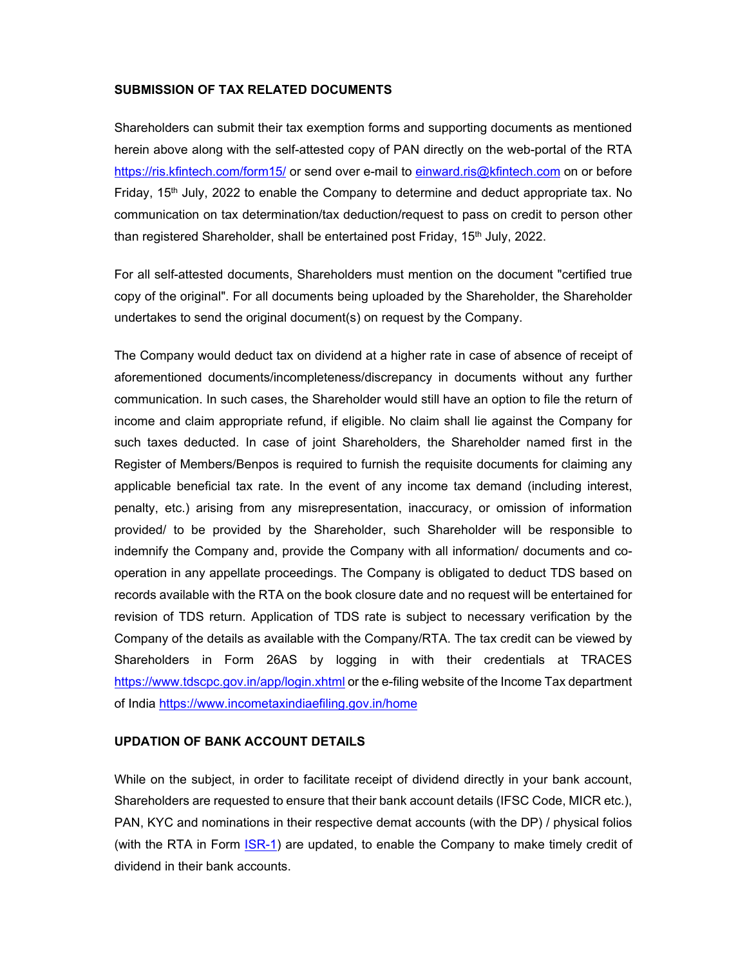#### **SUBMISSION OF TAX RELATED DOCUMENTS**

Shareholders can submit their tax exemption forms and supporting documents as mentioned herein above along with the self-attested copy of PAN directly on the web-portal of the RTA https://ris.kfintech.com/form15/ or send over e-mail to einward.ris@kfintech.com on or before Friday,  $15<sup>th</sup>$  July, 2022 to enable the Company to determine and deduct appropriate tax. No communication on tax determination/tax deduction/request to pass on credit to person other than registered Shareholder, shall be entertained post Friday, 15<sup>th</sup> July, 2022.

For all self-attested documents, Shareholders must mention on the document "certified true copy of the original". For all documents being uploaded by the Shareholder, the Shareholder undertakes to send the original document(s) on request by the Company.

The Company would deduct tax on dividend at a higher rate in case of absence of receipt of aforementioned documents/incompleteness/discrepancy in documents without any further communication. In such cases, the Shareholder would still have an option to file the return of income and claim appropriate refund, if eligible. No claim shall lie against the Company for such taxes deducted. In case of joint Shareholders, the Shareholder named first in the Register of Members/Benpos is required to furnish the requisite documents for claiming any applicable beneficial tax rate. In the event of any income tax demand (including interest, penalty, etc.) arising from any misrepresentation, inaccuracy, or omission of information provided/ to be provided by the Shareholder, such Shareholder will be responsible to indemnify the Company and, provide the Company with all information/ documents and cooperation in any appellate proceedings. The Company is obligated to deduct TDS based on records available with the RTA on the book closure date and no request will be entertained for revision of TDS return. Application of TDS rate is subject to necessary verification by the Company of the details as available with the Company/RTA. The tax credit can be viewed by Shareholders in Form 26AS by logging in with their credentials at TRACES https://www.tdscpc.gov.in/app/login.xhtml or the e-filing website of the Income Tax department of India https://www.incometaxindiaefiling.gov.in/home

### **UPDATION OF BANK ACCOUNT DETAILS**

While on the subject, in order to facilitate receipt of dividend directly in your bank account, Shareholders are requested to ensure that their bank account details (IFSC Code, MICR etc.), PAN, KYC and nominations in their respective demat accounts (with the DP) / physical folios (with the RTA in Form **ISR-1)** are updated, to enable the Company to make timely credit of dividend in their bank accounts.